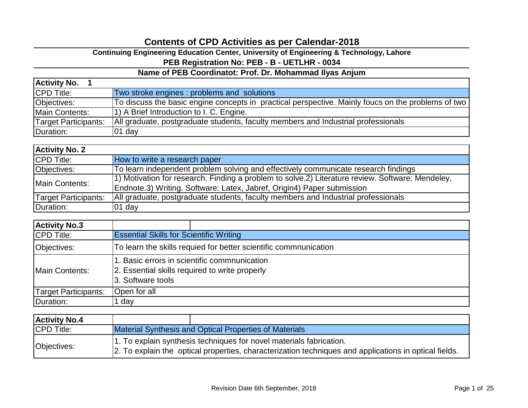## **Contents of CPD Activities as per Calendar-2018**

**Continuing Engineering Education Center, University of Engineering & Technology, Lahore PEB Registration No: PEB - B - UETLHR - 0034**

## **Name of PEB Coordinatot: Prof. Dr. Mohammad Ilyas Anjum**

| <b>Activity No.</b>  |                                                                                                    |
|----------------------|----------------------------------------------------------------------------------------------------|
| <b>CPD Title:</b>    | Two stroke engines : problems and solutions                                                        |
| Objectives:          | To discuss the basic engine concepts in practical perspective. Mainly foucs on the problems of two |
| Main Contents:       | 1) A Brief Introduction to I. C. Engine.                                                           |
| Target Participants: | All graduate, postgraduate students, faculty members and Industrial professionals                  |
| Duration:            | 01 day                                                                                             |

| <b>Activity No. 2</b> |                                                                                                   |
|-----------------------|---------------------------------------------------------------------------------------------------|
| CPD Title:            | How to write a research paper                                                                     |
| Objectives:           | To learn independent problem solving and effectively communicate research findings                |
| Main Contents:        | [1] Motivation for research. Finding a problem to solve.2) Literature review. Software: Mendeley, |
|                       | Endnote.3) Writing. Software: Latex, Jabref, Origin4) Paper submission                            |
| Target Participants:  | All graduate, postgraduate students, faculty members and Industrial professionals                 |
| Duration:             | $ 01$ day                                                                                         |

| <b>Activity No.3</b>        |                                                                                                                     |
|-----------------------------|---------------------------------------------------------------------------------------------------------------------|
| CPD Title:                  | <b>Essential Skills for Scientific Writing</b>                                                                      |
| Objectives:                 | To learn the skills requied for better scientific commnunication                                                    |
| Main Contents:              | 1. Basic errors in scientific commnunication<br>2. Essential skills required to write properly<br>3. Software tools |
| <b>Target Participants:</b> | Open for all                                                                                                        |
| Duration:                   | day                                                                                                                 |

| <b>Activity No.4</b> |                                                                                                                                                                               |
|----------------------|-------------------------------------------------------------------------------------------------------------------------------------------------------------------------------|
| <b>CPD Title:</b>    | Material Synthesis and Optical Properties of Materials                                                                                                                        |
| Objectives:          | 11. To explain synthesis techniques for novel materials fabrication.<br>2. To explain the optical properties, characterization techniques and applications in optical fields. |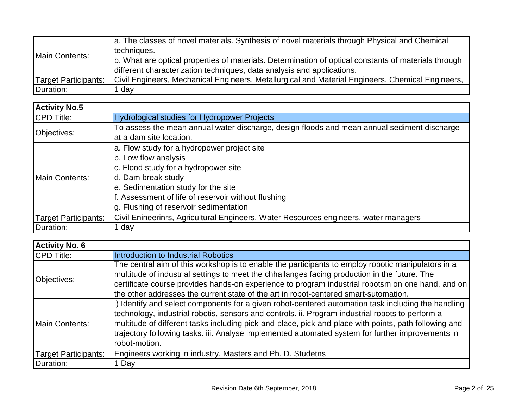| Main Contents:       | a. The classes of novel materials. Synthesis of novel materials through Physical and Chemical<br>techniques.<br>b. What are optical properties of materials. Determination of optical constants of materials through<br>different characterization techniques, data analysis and applications. |
|----------------------|------------------------------------------------------------------------------------------------------------------------------------------------------------------------------------------------------------------------------------------------------------------------------------------------|
| Target Participants: | Civil Engineers, Mechanical Engineers, Metallurgical and Material Engineers, Chemical Engineers,                                                                                                                                                                                               |
| Duration:            | 1 day                                                                                                                                                                                                                                                                                          |

| <b>Activity No.5</b>        |                                                                                                                                                                                                                                                                           |
|-----------------------------|---------------------------------------------------------------------------------------------------------------------------------------------------------------------------------------------------------------------------------------------------------------------------|
| <b>CPD Title:</b>           | <b>Hydrological studies for Hydropower Projects</b>                                                                                                                                                                                                                       |
| Objectives:                 | To assess the mean annual water discharge, design floods and mean annual sediment discharge<br>at a dam site location.                                                                                                                                                    |
| <b>Main Contents:</b>       | a. Flow study for a hydropower project site<br>b. Low flow analysis<br>c. Flood study for a hydropower site<br>d. Dam break study<br>e. Sedimentation study for the site<br>f. Assessment of life of reservoir without flushing<br>g. Flushing of reservoir sedimentation |
| <b>Target Participants:</b> | Civil Enineerinrs, Agricultural Engineers, Water Resources engineers, water managers                                                                                                                                                                                      |
| Duration:                   | day                                                                                                                                                                                                                                                                       |

| <b>Activity No. 6</b>       |                                                                                                                                                                                                                                                                                                                                                                                                                                        |
|-----------------------------|----------------------------------------------------------------------------------------------------------------------------------------------------------------------------------------------------------------------------------------------------------------------------------------------------------------------------------------------------------------------------------------------------------------------------------------|
| <b>CPD Title:</b>           | Introduction to Industrial Robotics                                                                                                                                                                                                                                                                                                                                                                                                    |
| Objectives:                 | The central aim of this workshop is to enable the participants to employ robotic manipulators in a<br>multitude of industrial settings to meet the chhallanges facing production in the future. The<br>certificate course provides hands-on experience to program industrial robotsm on one hand, and on<br>the other addresses the current state of the art in robot-centered smart-sutomation.                                       |
| Main Contents:              | i) Identify and select components for a given robot-centered automation task including the handling<br>technology, industrial robotis, sensors and controls. ii. Program industrial robots to perform a<br>multitude of different tasks including pick-and-place, pick-and-place with points, path following and<br>trajectory following tasks. iii. Analyse implemented automated system for further improvements in<br>robot-motion. |
| <b>Target Participants:</b> | Engineers working in industry, Masters and Ph. D. Studetns                                                                                                                                                                                                                                                                                                                                                                             |
| Duration:                   | 1 Day                                                                                                                                                                                                                                                                                                                                                                                                                                  |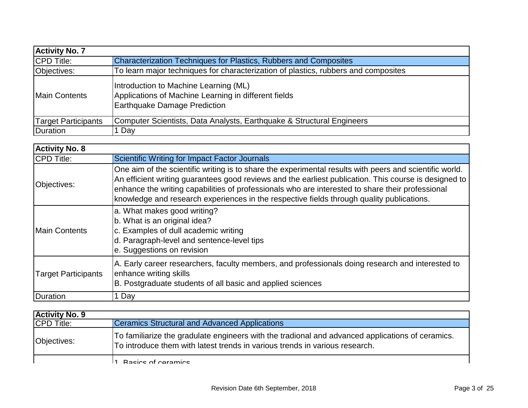| <b>Activity No. 7</b>      |                                                                                                                                      |
|----------------------------|--------------------------------------------------------------------------------------------------------------------------------------|
| <b>CPD Title:</b>          | Characterization Techniques for Plastics, Rubbers and Composites                                                                     |
| Objectives:                | To learn major techniques for characterization of plastics, rubbers and composites                                                   |
| <b>Main Contents</b>       | Introduction to Machine Learning (ML)<br>Applications of Machine Learning in different fields<br><b>Earthquake Damage Prediction</b> |
| <b>Target Participants</b> | Computer Scientists, Data Analysts, Earthquake & Structural Engineers                                                                |
| <b>Duration</b>            | Day                                                                                                                                  |

| <b>Activity No. 8</b>      |                                                                                                                                                                                                                                                                                                                                                                                                                   |
|----------------------------|-------------------------------------------------------------------------------------------------------------------------------------------------------------------------------------------------------------------------------------------------------------------------------------------------------------------------------------------------------------------------------------------------------------------|
| <b>CPD Title:</b>          | Scientific Writing for Impact Factor Journals                                                                                                                                                                                                                                                                                                                                                                     |
| <b>Objectives:</b>         | One aim of the scientific writing is to share the experimental results with peers and scientific world.<br>An efficient writing guarantees good reviews and the earliest publication. This course is designed to<br>enhance the writing capabilities of professionals who are interested to share their professional<br>knowledge and research experiences in the respective fields through quality publications. |
| <b>Main Contents</b>       | a. What makes good writing?<br>b. What is an original idea?<br>c. Examples of dull academic writing<br>d. Paragraph-level and sentence-level tips<br>e. Suggestions on revision                                                                                                                                                                                                                                   |
| <b>Target Participants</b> | A. Early career researchers, faculty members, and professionals doing research and interested to<br>enhance writing skills<br>B. Postgraduate students of all basic and applied sciences                                                                                                                                                                                                                          |
| Duration                   | 1 Day                                                                                                                                                                                                                                                                                                                                                                                                             |

| <b>Activity No. 9</b> |                                                                                                                                                                                 |
|-----------------------|---------------------------------------------------------------------------------------------------------------------------------------------------------------------------------|
| <b>CPD Title:</b>     | <b>Ceramics Structural and Advanced Applications</b>                                                                                                                            |
| Objectives:           | To familiarize the gradulate engineers with the tradional and advanced applications of ceramics.<br>To introduce them with latest trends in various trends in various research. |
|                       | Rasics of caramics                                                                                                                                                              |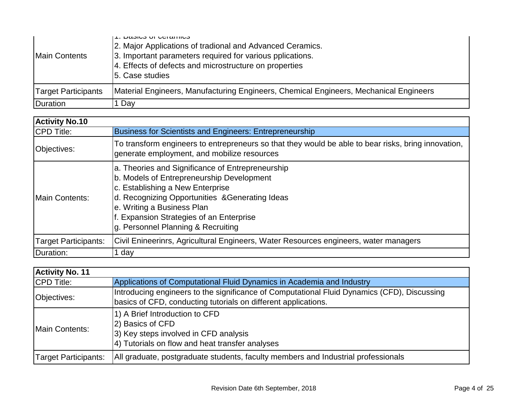| <b>IMain Contents</b>      | יי האוסוסט וח פאופוסט<br>2. Major Applications of tradional and Advanced Ceramics.<br>3. Important parameters required for various pplications.<br>4. Effects of defects and microstructure on properties<br>15. Case studies |
|----------------------------|-------------------------------------------------------------------------------------------------------------------------------------------------------------------------------------------------------------------------------|
| <b>Target Participants</b> | Material Engineers, Manufacturing Engineers, Chemical Engineers, Mechanical Engineers                                                                                                                                         |
| <b>Duration</b>            | Day                                                                                                                                                                                                                           |

| <b>Activity No.10</b>       |                                                                                                                                                                                                                                                                                                      |
|-----------------------------|------------------------------------------------------------------------------------------------------------------------------------------------------------------------------------------------------------------------------------------------------------------------------------------------------|
| <b>CPD Title:</b>           | Business for Scientists and Engineers: Entrepreneurship                                                                                                                                                                                                                                              |
| Objectives:                 | To transform engineers to entrepreneurs so that they would be able to bear risks, bring innovation,<br>generate employment, and mobilize resources                                                                                                                                                   |
| <b>IMain Contents:</b>      | a. Theories and Significance of Entrepreneurship<br>b. Models of Entrepreneurship Development<br>c. Establishing a New Enterprise<br>d. Recognizing Opportunities & Generating Ideas<br>e. Writing a Business Plan<br>f. Expansion Strategies of an Enterprise<br>g. Personnel Planning & Recruiting |
| <b>Target Participants:</b> | Civil Enineerinrs, Agricultural Engineers, Water Resources engineers, water managers                                                                                                                                                                                                                 |
| Duration:                   | day                                                                                                                                                                                                                                                                                                  |

| <b>Activity No. 11</b> |                                                                                                                                                               |
|------------------------|---------------------------------------------------------------------------------------------------------------------------------------------------------------|
| CPD Title:             | Applications of Computational Fluid Dynamics in Academia and Industry                                                                                         |
| Objectives:            | Introducing engineers to the significance of Computational Fluid Dynamics (CFD), Discussing<br>basics of CFD, conducting tutorials on different applications. |
| <b>Main Contents:</b>  | 1) A Brief Introduction to CFD<br>2) Basics of CFD<br>3) Key steps involved in CFD analysis<br>4) Tutorials on flow and heat transfer analyses                |
| Target Participants:   | All graduate, postgraduate students, faculty members and Industrial professionals                                                                             |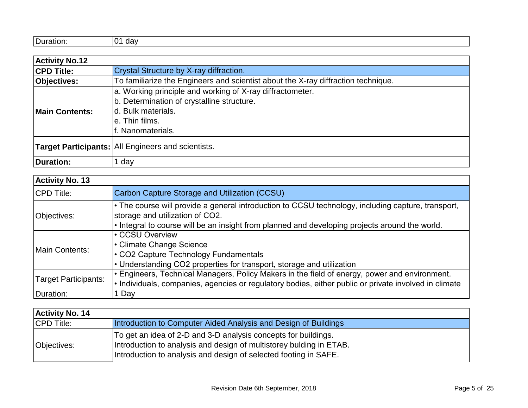| Duration:<br>$\mathbf{1}$<br>do,<br>uav |
|-----------------------------------------|
|-----------------------------------------|

| <b>Activity No.12</b> |                                                                                   |
|-----------------------|-----------------------------------------------------------------------------------|
| <b>CPD Title:</b>     | Crystal Structure by X-ray diffraction.                                           |
| <b>Objectives:</b>    | To familiarize the Engineers and scientist about the X-ray diffraction technique. |
|                       | a. Working principle and working of X-ray diffractometer.                         |
|                       | b. Determination of crystalline structure.                                        |
| <b>Main Contents:</b> | Id. Bulk materials.                                                               |
|                       | le. Thin films.                                                                   |
|                       | f. Nanomaterials.                                                                 |
|                       | Target Participants: All Engineers and scientists.                                |
| Duration:             | day                                                                               |

| <b>Activity No. 13</b>      |                                                                                                                                                                                                                                         |
|-----------------------------|-----------------------------------------------------------------------------------------------------------------------------------------------------------------------------------------------------------------------------------------|
| <b>CPD Title:</b>           | Carbon Capture Storage and Utilization (CCSU)                                                                                                                                                                                           |
| Objectives:                 | • The course will provide a general introduction to CCSU technology, including capture, transport,<br>storage and utilization of CO2.<br>• Integral to course will be an insight from planned and developing projects around the world. |
| <b>IMain Contents:</b>      | • CCSU Overview<br>• Climate Change Science<br>• CO2 Capture Technology Fundamentals<br>• Understanding CO2 properties for transport, storage and utilization                                                                           |
| <b>Target Participants:</b> | Figure Engineers, Technical Managers, Policy Makers in the field of energy, power and environment.<br>Ior Individuals, companies, agencies or regulatory bodies, either public or private involved in climate                           |
| Duration:                   | Day                                                                                                                                                                                                                                     |

| <b>Activity No. 14</b> |                                                                                                                                                                                                           |
|------------------------|-----------------------------------------------------------------------------------------------------------------------------------------------------------------------------------------------------------|
| <b>CPD Title:</b>      | Introduction to Computer Aided Analysis and Design of Buildings                                                                                                                                           |
| Objectives:            | To get an idea of 2-D and 3-D analysis concepts for buildings.<br>Introduction to analysis and design of multistorey bulding in ETAB.<br>Introduction to analysis and design of selected footing in SAFE. |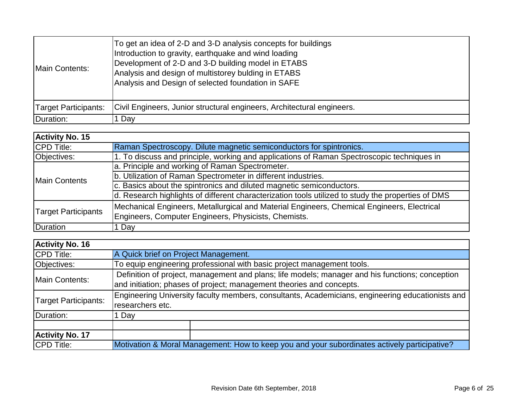| <b>IMain Contents:</b>      | To get an idea of 2-D and 3-D analysis concepts for buildings<br>Introduction to gravity, earthquake and wind loading<br>Development of 2-D and 3-D building model in ETABS<br>Analysis and design of multistorey bulding in ETABS<br>Analysis and Design of selected foundation in SAFE |
|-----------------------------|------------------------------------------------------------------------------------------------------------------------------------------------------------------------------------------------------------------------------------------------------------------------------------------|
| <b>Target Participants:</b> | Civil Engineers, Junior structural engineers, Architectural engineers.                                                                                                                                                                                                                   |
| Duration:                   | Day                                                                                                                                                                                                                                                                                      |

| <b>Activity No. 15</b>     |                                                                                                                                                    |
|----------------------------|----------------------------------------------------------------------------------------------------------------------------------------------------|
| <b>CPD Title:</b>          | Raman Spectroscopy. Dilute magnetic semiconductors for spintronics.                                                                                |
| Objectives:                | 1. To discuss and principle, working and applications of Raman Spectroscopic techniques in                                                         |
| Main Contents              | a. Principle and working of Raman Spectrometer.                                                                                                    |
|                            | b. Utilization of Raman Spectrometer in different industries.                                                                                      |
|                            | c. Basics about the spintronics and diluted magnetic semiconductors.                                                                               |
|                            | d. Research highlights of different characterization tools utilized to study the properties of DMS                                                 |
| <b>Target Participants</b> | Mechanical Engineers, Metallurgical and Material Engineers, Chemical Engineers, Electrical<br>Engineers, Computer Engineers, Physicists, Chemists. |
| Duration                   | 1 Day                                                                                                                                              |

| <b>Activity No. 16</b> |                                                                                                                                                                         |
|------------------------|-------------------------------------------------------------------------------------------------------------------------------------------------------------------------|
| <b>CPD Title:</b>      | A Quick brief on Project Management.                                                                                                                                    |
| Objectives:            | To equip engineering professional with basic project management tools.                                                                                                  |
| Main Contents:         | Definition of project, management and plans; life models; manager and his functions; conception<br>and initiation; phases of project; management theories and concepts. |
| Target Participants:   | Engineering University faculty members, consultants, Academicians, engineering educationists and<br>researchers etc.                                                    |
| Duration:              | Day                                                                                                                                                                     |
|                        |                                                                                                                                                                         |
| <b>Activity No. 17</b> |                                                                                                                                                                         |
| <b>CPD Title:</b>      | Motivation & Moral Management: How to keep you and your subordinates actively participative?                                                                            |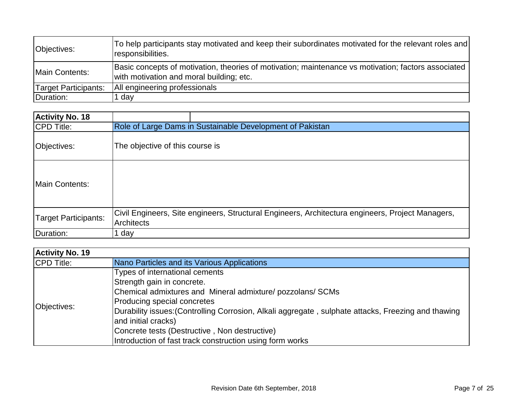| Objectives:          | To help participants stay motivated and keep their subordinates motivated for the relevant roles and<br>responsibilities.                       |
|----------------------|-------------------------------------------------------------------------------------------------------------------------------------------------|
| Main Contents:       | Basic concepts of motivation, theories of motivation; maintenance vs motivation; factors associated<br>with motivation and moral building; etc. |
| Target Participants: | All engineering professionals                                                                                                                   |
| Duration:            | 1 day                                                                                                                                           |

| <b>Activity No. 18</b>      |                                                                                                                       |
|-----------------------------|-----------------------------------------------------------------------------------------------------------------------|
| <b>CPD Title:</b>           | Role of Large Dams in Sustainable Development of Pakistan                                                             |
| Objectives:                 | The objective of this course is                                                                                       |
| <b>IMain Contents:</b>      |                                                                                                                       |
| <b>Target Participants:</b> | Civil Engineers, Site engineers, Structural Engineers, Architectura engineers, Project Managers,<br><b>Architects</b> |
| Duration:                   | day                                                                                                                   |

| <b>Activity No. 19</b> |                                                                                                     |
|------------------------|-----------------------------------------------------------------------------------------------------|
| <b>CPD Title:</b>      | Nano Particles and its Various Applications                                                         |
| Objectives:            | Types of international cements                                                                      |
|                        | Strength gain in concrete.                                                                          |
|                        | Chemical admixtures and Mineral admixture/ pozzolans/ SCMs                                          |
|                        | Producing special concretes                                                                         |
|                        | Durability issues: (Controlling Corrosion, Alkali aggregate, sulphate attacks, Freezing and thawing |
|                        | and initial cracks)                                                                                 |
|                        | Concrete tests (Destructive, Non destructive)                                                       |
|                        | Introduction of fast track construction using form works                                            |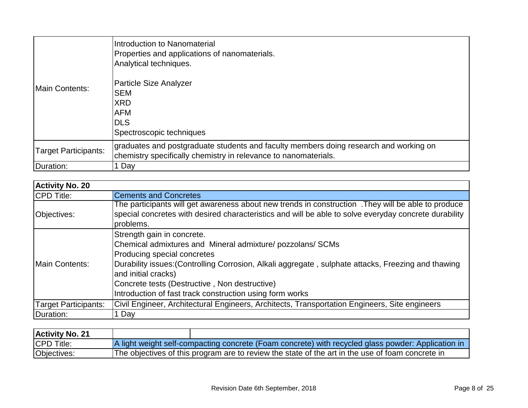| Main Contents:              | Introduction to Nanomaterial<br>Properties and applications of nanomaterials.<br>Analytical techniques.                                                  |
|-----------------------------|----------------------------------------------------------------------------------------------------------------------------------------------------------|
|                             | <b>Particle Size Analyzer</b><br><b>SEM</b><br><b>XRD</b><br><b>AFM</b><br><b>DLS</b><br>Spectroscopic techniques                                        |
| <b>Target Participants:</b> | graduates and postgraduate students and faculty members doing research and working on<br>chemistry specifically chemistry in relevance to nanomaterials. |
| Duration:                   | Day                                                                                                                                                      |

| <b>Activity No. 20</b> |                                                                                                                                                                                                                          |
|------------------------|--------------------------------------------------------------------------------------------------------------------------------------------------------------------------------------------------------------------------|
| <b>CPD Title:</b>      | <b>Cements and Concretes</b>                                                                                                                                                                                             |
| Objectives:            | The participants will get awareness about new trends in construction. They will be able to produce<br>special concretes with desired characteristics and will be able to solve everyday concrete durability<br>problems. |
|                        | Strength gain in concrete.                                                                                                                                                                                               |
|                        | Chemical admixtures and Mineral admixture/ pozzolans/ SCMs                                                                                                                                                               |
|                        | Producing special concretes                                                                                                                                                                                              |
| Main Contents:         | Durability issues: (Controlling Corrosion, Alkali aggregate, sulphate attacks, Freezing and thawing<br>and initial cracks)                                                                                               |
|                        | Concrete tests (Destructive, Non destructive)                                                                                                                                                                            |
|                        | Introduction of fast track construction using form works                                                                                                                                                                 |
| Target Participants:   | Civil Engineer, Architectural Engineers, Architects, Transportation Engineers, Site engineers                                                                                                                            |
| Duration:              | 1 Day                                                                                                                                                                                                                    |

| <b>Activity No. 21</b> |                                                                                                    |
|------------------------|----------------------------------------------------------------------------------------------------|
| <b>CPD Title:</b>      | A light weight self-compacting concrete (Foam concrete) with recycled glass powder: Application in |
| Objectives:            | The objectives of this program are to review the state of the art in the use of foam concrete in   |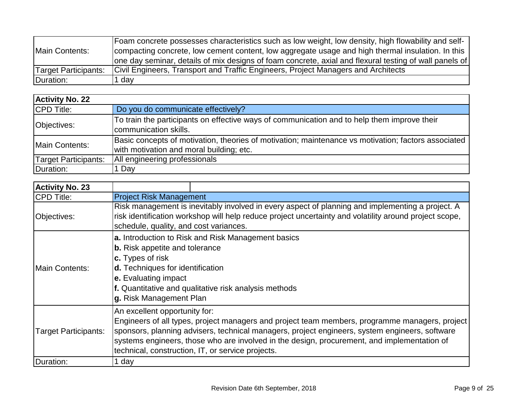| Main Contents:       | Foam concrete possesses characteristics such as low weight, low density, high flowability and self-    |
|----------------------|--------------------------------------------------------------------------------------------------------|
|                      | compacting concrete, low cement content, low aggregate usage and high thermal insulation. In this      |
|                      | one day seminar, details of mix designs of foam concrete, axial and flexural testing of wall panels of |
| Target Participants: | Civil Engineers, Transport and Traffic Engineers, Project Managers and Architects                      |
| Duration:            | dav                                                                                                    |

| <b>Activity No. 22</b>      |                                                                                                                                                 |
|-----------------------------|-------------------------------------------------------------------------------------------------------------------------------------------------|
| CPD Title:                  | Do you do communicate effectively?                                                                                                              |
| Objectives:                 | To train the participants on effective ways of communication and to help them improve their<br>communication skills.                            |
| Main Contents:              | Basic concepts of motivation, theories of motivation; maintenance vs motivation; factors associated<br>with motivation and moral building; etc. |
| <b>Target Participants:</b> | All engineering professionals                                                                                                                   |
| Duration:                   | 1 Day                                                                                                                                           |

| <b>Activity No. 23</b>      |                                                                                                                                                                                                                                                                                                                                                                                       |
|-----------------------------|---------------------------------------------------------------------------------------------------------------------------------------------------------------------------------------------------------------------------------------------------------------------------------------------------------------------------------------------------------------------------------------|
| <b>CPD Title:</b>           | <b>Project Risk Management</b>                                                                                                                                                                                                                                                                                                                                                        |
| Objectives:                 | Risk management is inevitably involved in every aspect of planning and implementing a project. A<br>risk identification workshop will help reduce project uncertainty and volatility around project scope,<br>schedule, quality, and cost variances.                                                                                                                                  |
| <b>IMain Contents:</b>      | a. Introduction to Risk and Risk Management basics<br><b>b.</b> Risk appetite and tolerance<br>c. Types of risk<br>d. Techniques for identification<br>e. Evaluating impact<br>f. Quantitative and qualitative risk analysis methods<br>g. Risk Management Plan                                                                                                                       |
| <b>Target Participants:</b> | An excellent opportunity for:<br>Engineers of all types, project managers and project team members, programme managers, project<br>sponsors, planning advisers, technical managers, project engineers, system engineers, software<br>systems engineers, those who are involved in the design, procurement, and implementation of<br>technical, construction, IT, or service projects. |
| Duration:                   | . day                                                                                                                                                                                                                                                                                                                                                                                 |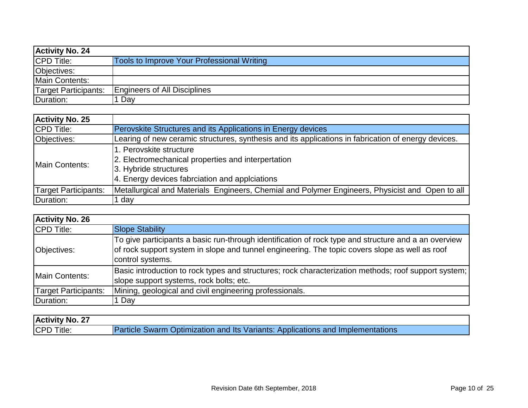| <b>Activity No. 24</b> |                                            |
|------------------------|--------------------------------------------|
| <b>CPD Title:</b>      | Tools to Improve Your Professional Writing |
| Objectives:            |                                            |
| Main Contents:         |                                            |
| Target Participants:   | <b>Engineers of All Disciplines</b>        |
| Duration:              | Day                                        |

| <b>Activity No. 25</b> |                                                                                                                                                          |
|------------------------|----------------------------------------------------------------------------------------------------------------------------------------------------------|
| <b>CPD Title:</b>      | Perovskite Structures and its Applications in Energy devices                                                                                             |
| Objectives:            | Learing of new ceramic structures, synthesis and its applications in fabrication of energy devices.                                                      |
| <b>Main Contents:</b>  | 1. Perovskite structure<br>2. Electromechanical properties and interpertation<br>3. Hybride structures<br>4. Energy devices fabrciation and applciations |
| Target Participants:   | Metallurgical and Materials Engineers, Chemial and Polymer Engineers, Physicist and Open to all                                                          |
| Duration:              | 1 day                                                                                                                                                    |

| <b>Activity No. 26</b>      |                                                                                                                                                                                                                            |
|-----------------------------|----------------------------------------------------------------------------------------------------------------------------------------------------------------------------------------------------------------------------|
| CPD Title:                  | <b>Slope Stability</b>                                                                                                                                                                                                     |
| Objectives:                 | To give participants a basic run-through identification of rock type and structure and a an overview<br>of rock support system in slope and tunnel engineering. The topic covers slope as well as roof<br>control systems. |
| Main Contents:              | Basic introduction to rock types and structures; rock characterization methods; roof support system;<br>slope support systems, rock bolts; etc.                                                                            |
| <b>Target Participants:</b> | Mining, geological and civil engineering professionals.                                                                                                                                                                    |
| Duration:                   | 1 Day                                                                                                                                                                                                                      |

| <b>Activity No. 27</b> |                                                                   |
|------------------------|-------------------------------------------------------------------|
| <b>CPD</b>             | <b>IParticle Swarm</b>                                            |
| Title:                 | n Optimization and Its Variants: Applications and Implementations |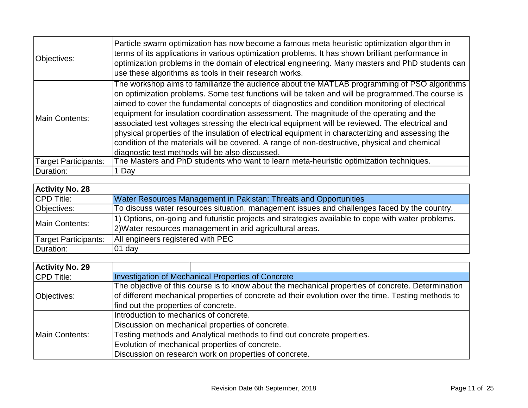| Objectives:                 | Particle swarm optimization has now become a famous meta heuristic optimization algorithm in<br>terms of its applications in various optimization problems. It has shown brilliant performance in<br>optimization problems in the domain of electrical engineering. Many masters and PhD students can<br>use these algorithms as tools in their research works.                                                                                                                                                                                                                                                                                                                                                                                             |
|-----------------------------|-------------------------------------------------------------------------------------------------------------------------------------------------------------------------------------------------------------------------------------------------------------------------------------------------------------------------------------------------------------------------------------------------------------------------------------------------------------------------------------------------------------------------------------------------------------------------------------------------------------------------------------------------------------------------------------------------------------------------------------------------------------|
| Main Contents:              | The workshop aims to familiarize the audience about the MATLAB programming of PSO algorithms<br>on optimization problems. Some test functions will be taken and will be programmed. The course is<br>aimed to cover the fundamental concepts of diagnostics and condition monitoring of electrical<br>equipment for insulation coordination assessment. The magnitude of the operating and the<br>associated test voltages stressing the electrical equipment will be reviewed. The electrical and<br>physical properties of the insulation of electrical equipment in characterizing and assessing the<br>condition of the materials will be covered. A range of non-destructive, physical and chemical<br>diagnostic test methods will be also discussed. |
| <b>Target Participants:</b> | The Masters and PhD students who want to learn meta-heuristic optimization techniques.                                                                                                                                                                                                                                                                                                                                                                                                                                                                                                                                                                                                                                                                      |
| Duration:                   | 1 Day                                                                                                                                                                                                                                                                                                                                                                                                                                                                                                                                                                                                                                                                                                                                                       |

| <b>Activity No. 28</b> |                                                                                                                                                                  |
|------------------------|------------------------------------------------------------------------------------------------------------------------------------------------------------------|
| CPD Title:             | Water Resources Management in Pakistan: Threats and Opportunities                                                                                                |
| Objectives:            | To discuss water resources situation, management issues and challenges faced by the country.                                                                     |
| Main Contents:         | 1) Options, on-going and futuristic projects and strategies available to cope with water problems.<br>[2] Water resources management in arid agricultural areas. |
| Target Participants:   | All engineers registered with PEC                                                                                                                                |
| Duration:              | $101$ day                                                                                                                                                        |

| <b>Activity No. 29</b> |                                                                                                     |
|------------------------|-----------------------------------------------------------------------------------------------------|
| <b>CPD Title:</b>      | Investigation of Mechanical Properties of Concrete                                                  |
|                        | The objective of this course is to know about the mechanical properties of concrete. Determination  |
| Objectives:            | of different mechanical properties of concrete ad their evolution over the time. Testing methods to |
|                        | find out the properties of concrete.                                                                |
| <b>IMain Contents:</b> | Introduction to mechanics of concrete.                                                              |
|                        | Discussion on mechanical properties of concrete.                                                    |
|                        | Testing methods and Analytical methods to find out concrete properties.                             |
|                        | Evolution of mechanical properties of concrete.                                                     |
|                        | Discussion on research work on properties of concrete.                                              |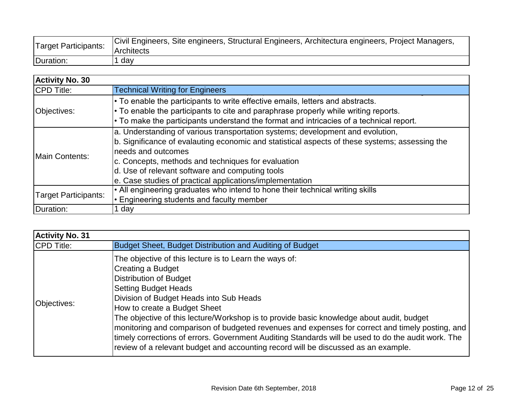| Target Participants: | Civil Engineers, Site engineers, Structural Engineers, Architectura engineers, Project Managers,<br><b>Architects</b> |
|----------------------|-----------------------------------------------------------------------------------------------------------------------|
| Duration:            | dav                                                                                                                   |

| <b>Activity No. 30</b>      |                                                                                                                                                                                                                                                                                                                                                                             |
|-----------------------------|-----------------------------------------------------------------------------------------------------------------------------------------------------------------------------------------------------------------------------------------------------------------------------------------------------------------------------------------------------------------------------|
| <b>CPD Title:</b>           | <b>Technical Writing for Engineers</b>                                                                                                                                                                                                                                                                                                                                      |
| Objectives:                 | • To enable the participants to write effective emails, letters and abstracts.<br>• To enable the participants to cite and paraphrase properly while writing reports.<br>$\cdot$ To make the participants understand the format and intricacies of a technical report.                                                                                                      |
| <b>IMain Contents:</b>      | a. Understanding of various transportation systems; development and evolution,<br>b. Significance of evalauting economic and statistical aspects of these systems; assessing the<br>needs and outcomes<br>c. Concepts, methods and techniques for evaluation<br>d. Use of relevant software and computing tools<br>e. Case studies of practical applications/implementation |
| <b>Target Participants:</b> | • All engineering graduates who intend to hone their technical writing skills<br>• Engineering students and faculty member                                                                                                                                                                                                                                                  |
| Duration:                   | day                                                                                                                                                                                                                                                                                                                                                                         |

| <b>Activity No. 31</b> |                                                                                                                                                                                                                                                                                                                                                                                                                                                                                                                                                                                                                   |
|------------------------|-------------------------------------------------------------------------------------------------------------------------------------------------------------------------------------------------------------------------------------------------------------------------------------------------------------------------------------------------------------------------------------------------------------------------------------------------------------------------------------------------------------------------------------------------------------------------------------------------------------------|
| <b>CPD Title:</b>      | Budget Sheet, Budget Distribution and Auditing of Budget                                                                                                                                                                                                                                                                                                                                                                                                                                                                                                                                                          |
| Objectives:            | The objective of this lecture is to Learn the ways of:<br>Creating a Budget<br><b>Distribution of Budget</b><br><b>Setting Budget Heads</b><br>Division of Budget Heads into Sub Heads<br>How to create a Budget Sheet<br>The objective of this lecture/Workshop is to provide basic knowledge about audit, budget<br>monitoring and comparison of budgeted revenues and expenses for correct and timely posting, and<br>timely corrections of errors. Government Auditing Standards will be used to do the audit work. The<br>review of a relevant budget and accounting record will be discussed as an example. |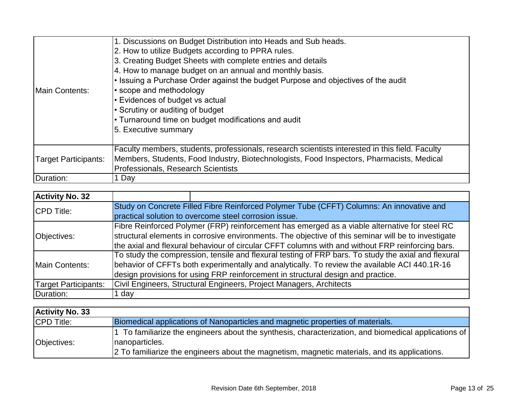| Main Contents:              | 1. Discussions on Budget Distribution into Heads and Sub heads.<br>2. How to utilize Budgets according to PPRA rules.<br>3. Creating Budget Sheets with complete entries and details<br>4. How to manage budget on an annual and monthly basis.<br>Ior Issuing a Purchase Order against the budget Purpose and objectives of the audit<br>• scope and methodology<br>• Evidences of budget vs actual<br>• Scrutiny or auditing of budget<br>• Turnaround time on budget modifications and audit<br>5. Executive summary |
|-----------------------------|-------------------------------------------------------------------------------------------------------------------------------------------------------------------------------------------------------------------------------------------------------------------------------------------------------------------------------------------------------------------------------------------------------------------------------------------------------------------------------------------------------------------------|
| <b>Target Participants:</b> | Faculty members, students, professionals, research scientists interested in this field. Faculty<br>Members, Students, Food Industry, Biotechnologists, Food Inspectors, Pharmacists, Medical<br>Professionals, Research Scientists                                                                                                                                                                                                                                                                                      |
| Duration:                   | 1 Day                                                                                                                                                                                                                                                                                                                                                                                                                                                                                                                   |

| <b>Activity No. 32</b>      |                                                                                                     |
|-----------------------------|-----------------------------------------------------------------------------------------------------|
| <b>CPD Title:</b>           | Study on Concrete Filled Fibre Reinforced Polymer Tube (CFFT) Columns: An innovative and            |
|                             | practical solution to overcome steel corrosion issue.                                               |
|                             | Fibre Reinforced Polymer (FRP) reinforcement has emerged as a viable alternative for steel RC       |
| Objectives:                 | structural elements in corrosive environments. The objective of this seminar will be to investigate |
|                             | the axial and flexural behaviour of circular CFFT columns with and without FRP reinforcing bars.    |
| Main Contents:              | To study the compression, tensile and flexural testing of FRP bars. To study the axial and flexural |
|                             | behavior of CFFTs both experimentally and analytically. To review the available ACI 440.1R-16       |
|                             | design provisions for using FRP reinforcement in structural design and practice.                    |
| <b>Target Participants:</b> | Civil Engineers, Structural Engineers, Project Managers, Architects                                 |
| Duration:                   | 1 day                                                                                               |

| <b>Activity No. 33</b> |                                                                                                                                                                                                                          |
|------------------------|--------------------------------------------------------------------------------------------------------------------------------------------------------------------------------------------------------------------------|
| <b>CPD Title:</b>      | Biomedical applications of Nanoparticles and magnetic properties of materials.                                                                                                                                           |
| Objectives:            | 1 To familiarize the engineers about the synthesis, characterization, and biomedical applications of<br>Inanoparticles.<br>2 To familiarize the engineers about the magnetism, magnetic materials, and its applications. |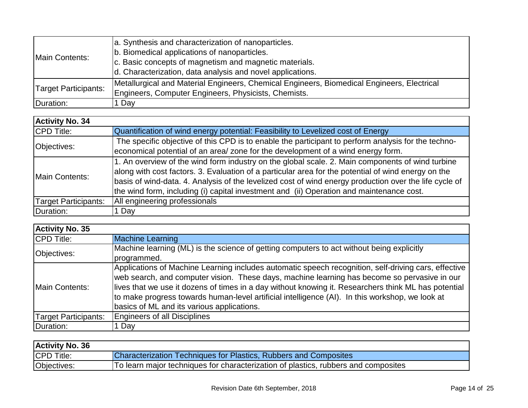| <b>IMain Contents:</b> | a. Synthesis and characterization of nanoparticles.<br>b. Biomedical applications of nanoparticles.<br>c. Basic concepts of magnetism and magnetic materials.<br>d. Characterization, data analysis and novel applications. |
|------------------------|-----------------------------------------------------------------------------------------------------------------------------------------------------------------------------------------------------------------------------|
| Target Participants:   | Metallurgical and Material Engineers, Chemical Engineers, Biomedical Engineers, Electrical<br>Engineers, Computer Engineers, Physicists, Chemists.                                                                          |
| Duration:              | Day                                                                                                                                                                                                                         |

| <b>Activity No. 34</b>      |                                                                                                                                                                                                                                                                                                                                                                                                               |
|-----------------------------|---------------------------------------------------------------------------------------------------------------------------------------------------------------------------------------------------------------------------------------------------------------------------------------------------------------------------------------------------------------------------------------------------------------|
| <b>CPD Title:</b>           | Quantification of wind energy potential: Feasibility to Levelized cost of Energy                                                                                                                                                                                                                                                                                                                              |
| Objectives:                 | The specific objective of this CPD is to enable the participant to perform analysis for the techno-<br>economical potential of an area/ zone for the development of a wind energy form.                                                                                                                                                                                                                       |
| <b>IMain Contents:</b>      | 1. An overview of the wind form industry on the global scale. 2. Main components of wind turbine<br>along with cost factors. 3. Evaluation of a particular area for the potential of wind energy on the<br>basis of wind-data. 4. Analysis of the levelized cost of wind energy production over the life cycle of<br>the wind form, including (i) capital investment and (ii) Operation and maintenance cost. |
| <b>Target Participants:</b> | All engineering professionals                                                                                                                                                                                                                                                                                                                                                                                 |
| Duration:                   | 1 Day                                                                                                                                                                                                                                                                                                                                                                                                         |

| <b>Activity No. 35</b>      |                                                                                                                                                                                                                                                                                                                                                                                                                                                               |
|-----------------------------|---------------------------------------------------------------------------------------------------------------------------------------------------------------------------------------------------------------------------------------------------------------------------------------------------------------------------------------------------------------------------------------------------------------------------------------------------------------|
| <b>CPD Title:</b>           | <b>Machine Learning</b>                                                                                                                                                                                                                                                                                                                                                                                                                                       |
| Objectives:                 | Machine learning (ML) is the science of getting computers to act without being explicitly<br>programmed.                                                                                                                                                                                                                                                                                                                                                      |
| <b>IMain Contents:</b>      | Applications of Machine Learning includes automatic speech recognition, self-driving cars, effective<br>web search, and computer vision. These days, machine learning has become so pervasive in our<br>lives that we use it dozens of times in a day without knowing it. Researchers think ML has potential<br>to make progress towards human-level artificial intelligence (AI). In this workshop, we look at<br>basics of ML and its various applications. |
| <b>Target Participants:</b> | <b>Engineers of all Disciplines</b>                                                                                                                                                                                                                                                                                                                                                                                                                           |
| Duration:                   | Day                                                                                                                                                                                                                                                                                                                                                                                                                                                           |

| <b>Activity No. 36</b> |                                                                                    |
|------------------------|------------------------------------------------------------------------------------|
| <b>CPD Title:</b>      | Characterization Techniques for Plastics, Rubbers and Composites                   |
| Objectives:            | To learn major techniques for characterization of plastics, rubbers and composites |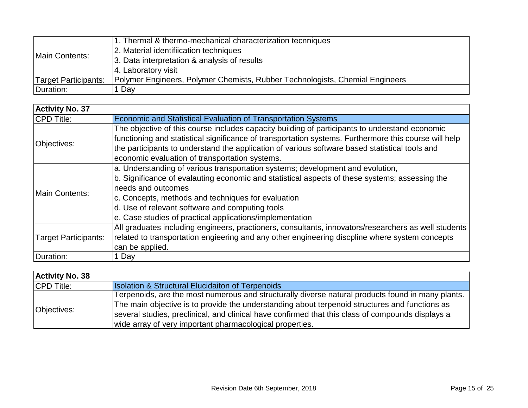| Main Contents:              | 1. Thermal & thermo-mechanical characterization tecnniques<br>2. Material identifiication techniques<br>3. Data interpretation & analysis of results<br>4. Laboratory visit |
|-----------------------------|-----------------------------------------------------------------------------------------------------------------------------------------------------------------------------|
| <b>Target Participants:</b> | Polymer Engineers, Polymer Chemists, Rubber Technologists, Chemial Engineers                                                                                                |
| Duration:                   | Day                                                                                                                                                                         |

| <b>Activity No. 37</b>      |                                                                                                                                                                                                                                                                                                                                                                             |
|-----------------------------|-----------------------------------------------------------------------------------------------------------------------------------------------------------------------------------------------------------------------------------------------------------------------------------------------------------------------------------------------------------------------------|
| <b>CPD Title:</b>           | <b>Economic and Statistical Evaluation of Transportation Systems</b>                                                                                                                                                                                                                                                                                                        |
| Objectives:                 | The objective of this course includes capacity building of participants to understand economic<br>functioning and statistical significance of transportation systems. Furthermore this course will help<br>the participants to understand the application of various software based statistical tools and<br>economic evaluation of transportation systems.                 |
| <b>Main Contents:</b>       | a. Understanding of various transportation systems; development and evolution,<br>b. Significance of evalauting economic and statistical aspects of these systems; assessing the<br>needs and outcomes<br>c. Concepts, methods and techniques for evaluation<br>d. Use of relevant software and computing tools<br>e. Case studies of practical applications/implementation |
| <b>Target Participants:</b> | All graduates including engineers, practioners, consultants, innovators/researchers as well students<br>related to transportation engieering and any other engineering discpline where system concepts<br>can be applied.                                                                                                                                                   |
| Duration:                   | 1 Day                                                                                                                                                                                                                                                                                                                                                                       |

| <b>Activity No. 38</b> |                                                                                                                                                                                                                                                                                                                                                                      |
|------------------------|----------------------------------------------------------------------------------------------------------------------------------------------------------------------------------------------------------------------------------------------------------------------------------------------------------------------------------------------------------------------|
| <b>CPD Title:</b>      | <b>Isolation &amp; Structural Elucidaiton of Terpenoids</b>                                                                                                                                                                                                                                                                                                          |
| Objectives:            | Terpenoids, are the most numerous and structurally diverse natural products found in many plants.<br>The main objective is to provide the understanding about terpenoid structures and functions as<br>several studies, preclinical, and clinical have confirmed that this class of compounds displays a<br>wide array of very important pharmacological properties. |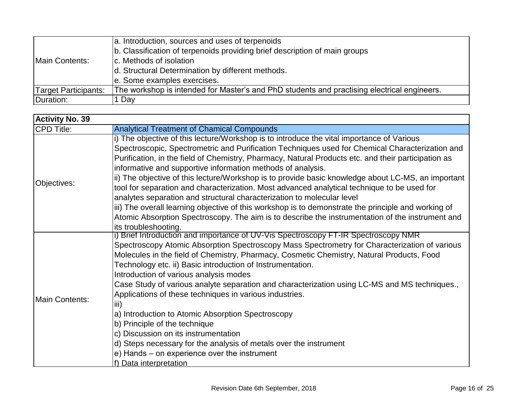|                      | a. Introduction, sources and uses of terpenoids                                             |
|----------------------|---------------------------------------------------------------------------------------------|
|                      | b. Classification of terpenoids providing brief description of main groups                  |
| Main Contents:       | c. Methods of isolation                                                                     |
|                      | d. Structural Determination by different methods.                                           |
|                      | le. Some examples exercises.                                                                |
| Target Participants: | The workshop is intended for Master's and PhD students and practising electrical engineers. |
| Duration:            | Day                                                                                         |

| <b>Activity No. 39</b> |                                                                                                                                                                                                                                                                                                                                                                                                                                                                                                                                                                                                                                                                                                                                                                                                                                                                                      |  |
|------------------------|--------------------------------------------------------------------------------------------------------------------------------------------------------------------------------------------------------------------------------------------------------------------------------------------------------------------------------------------------------------------------------------------------------------------------------------------------------------------------------------------------------------------------------------------------------------------------------------------------------------------------------------------------------------------------------------------------------------------------------------------------------------------------------------------------------------------------------------------------------------------------------------|--|
| <b>CPD Title:</b>      | <b>Analytical Treatment of Chamical Compounds</b>                                                                                                                                                                                                                                                                                                                                                                                                                                                                                                                                                                                                                                                                                                                                                                                                                                    |  |
| Objectives:            | i) The objective of this lecture/Workshop is to introduce the vital importance of Various<br>Spectroscopic, Spectrometric and Purification Techniques used for Chemical Characterization and<br>Purification, in the field of Chemistry, Pharmacy, Natural Products etc. and their participation as<br>informative and supportive information methods of analysis.<br>ii) The objective of this lecture/Workshop is to provide basic knowledge about LC-MS, an important<br>tool for separation and characterization. Most advanced analytical technique to be used for<br>analytes separation and structural characterization to molecular level<br>iii) The overall learning objective of this workshop is to demonstrate the principle and working of<br>Atomic Absorption Spectroscopy. The aim is to describe the instrumentation of the instrument and<br>its troubleshooting. |  |
| Main Contents:         | i) Brief Introduction and importance of UV-Vis Spectroscopy FT-IR Spectroscopy NMR<br>Spectroscopy Atomic Absorption Spectroscopy Mass Spectrometry for Characterization of various<br>Molecules in the field of Chemistry, Pharmacy, Cosmetic Chemistry, Natural Products, Food<br>Technology etc. ii) Basic introduction of Instrumentation.<br>Introduction of various analysis modes<br>Case Study of various analyte separation and characterization using LC-MS and MS techniques.,<br>Applications of these techniques in various industries.<br>iii)<br>a) Introduction to Atomic Absorption Spectroscopy<br>b) Principle of the technique<br>c) Discussion on its instrumentation<br>d) Steps necessary for the analysis of metals over the instrument<br>e) Hands – on experience over the instrument<br>f) Data interpretation                                            |  |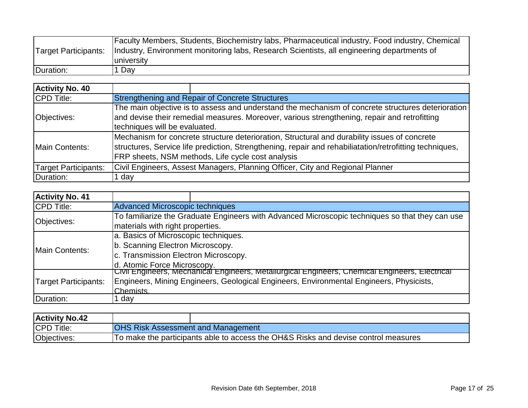|           | Faculty Members, Students, Biochemistry labs, Pharmaceutical industry, Food industry, Chemical<br>Target Participants: Industry, Environment monitoring labs, Research Scientists, all engineering departments of |
|-----------|-------------------------------------------------------------------------------------------------------------------------------------------------------------------------------------------------------------------|
|           | university                                                                                                                                                                                                        |
| Duration: | . Dav                                                                                                                                                                                                             |

| <b>Activity No. 40</b>      |                                                                                                         |
|-----------------------------|---------------------------------------------------------------------------------------------------------|
| <b>CPD Title:</b>           | Strengthening and Repair of Concrete Structures                                                         |
|                             | The main objective is to assess and understand the mechanism of concrete structures deterioration       |
| Objectives:                 | and devise their remedial measures. Moreover, various strengthening, repair and retrofitting            |
|                             | techniques will be evaluated.                                                                           |
|                             | Mechanism for concrete structure deterioration, Structural and durability issues of concrete            |
| Main Contents:              | structures, Service life prediction, Strengthening, repair and rehabiliatation/retrofitting techniques. |
|                             | FRP sheets, NSM methods, Life cycle cost analysis                                                       |
| <b>Target Participants:</b> | Civil Engineers, Assest Managers, Planning Officer, City and Regional Planner                           |
| Duration:                   | day                                                                                                     |

| <b>Activity No. 41</b>      |                                                                                                 |
|-----------------------------|-------------------------------------------------------------------------------------------------|
| <b>CPD Title:</b>           | Advanced Microscopic techniques                                                                 |
|                             | To familiarize the Graduate Engineers with Advanced Microscopic techniques so that they can use |
| Objectives:                 | materials with right properties.                                                                |
|                             | a. Basics of Microscopic techniques.                                                            |
| <b>IMain Contents:</b>      | b. Scanning Electron Microscopy.                                                                |
|                             | c. Transmission Electron Microscopy.                                                            |
|                             | d. Atomic Force Microscopy.                                                                     |
| <b>Target Participants:</b> | Civil Engineers, Mechanical Engineers, Metallurgical Engineers, Chemical Engineers, Electrical  |
|                             | Engineers, Mining Engineers, Geological Engineers, Environmental Engineers, Physicists,         |
|                             | Chemists                                                                                        |
| Duration:                   | day                                                                                             |

| <b>Activity No.42</b> |                                                                                    |
|-----------------------|------------------------------------------------------------------------------------|
| <b>CPD Title:</b>     | <b>OHS Risk Assessment and Management</b>                                          |
| Objectives:           | To make the participants able to access the OH&S Risks and devise control measures |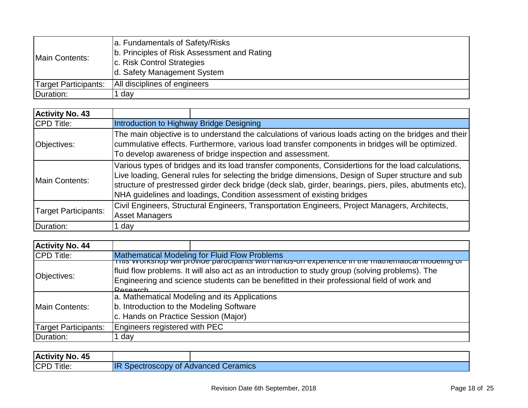| Main Contents:       | a. Fundamentals of Safety/Risks<br>b. Principles of Risk Assessment and Rating<br>c. Risk Control Strategies<br>d. Safety Management System |
|----------------------|---------------------------------------------------------------------------------------------------------------------------------------------|
| Target Participants: | All disciplines of engineers                                                                                                                |
| Duration:            | day                                                                                                                                         |

| <b>Activity No. 43</b>      |                                                                                                                                                                                                                                                                                                                                                                                               |  |
|-----------------------------|-----------------------------------------------------------------------------------------------------------------------------------------------------------------------------------------------------------------------------------------------------------------------------------------------------------------------------------------------------------------------------------------------|--|
| <b>CPD Title:</b>           | Introduction to Highway Bridge Designing                                                                                                                                                                                                                                                                                                                                                      |  |
| Objectives:                 | The main objective is to understand the calculations of various loads acting on the bridges and their<br>cummulative effects. Furthermore, various load transfer components in bridges will be optimized.<br>To develop awareness of bridge inspection and assessment.                                                                                                                        |  |
| <b>IMain Contents:</b>      | Various types of bridges and its load transfer components, Considertions for the load calculations,<br>Live loading, General rules for selecting the bridge dimensions, Design of Super structure and sub<br>structure of prestressed girder deck bridge (deck slab, girder, bearings, piers, piles, abutments etc),<br>NHA guidelines and loadings, Condition assessment of existing bridges |  |
| <b>Target Participants:</b> | Civil Engineers, Structural Engineers, Transportation Engineers, Project Managers, Architects,<br><b>Asset Managers</b>                                                                                                                                                                                                                                                                       |  |
| Duration:                   | day                                                                                                                                                                                                                                                                                                                                                                                           |  |

| <b>Activity No. 44</b> |                                                                                                          |
|------------------------|----------------------------------------------------------------------------------------------------------|
| <b>CPD Title:</b>      | <b>Mathematical Modeling for Fluid Flow Problems</b>                                                     |
|                        | <u>rms vvorksnop will provide participants with nands-on experience in the mathematical modelling or</u> |
| Objectives:            | fluid flow problems. It will also act as an introduction to study group (solving problems). The          |
|                        | Engineering and science students can be benefitted in their professional field of work and               |
|                        | <b>Receprob</b>                                                                                          |
| Main Contents:         | a. Mathematical Modeling and its Applications                                                            |
|                        | b. Introduction to the Modeling Software                                                                 |
|                        | c. Hands on Practice Session (Major)                                                                     |
| Target Participants:   | Engineers registered with PEC                                                                            |
| Duration:              | day                                                                                                      |

| <b>Activity No.</b><br>- 45 |                                                               |  |
|-----------------------------|---------------------------------------------------------------|--|
| <b>CPD Title:</b>           | ПF<br>Ceramics<br>∶of Advanced⊺<br>$\sim$ opectroscopy $\sim$ |  |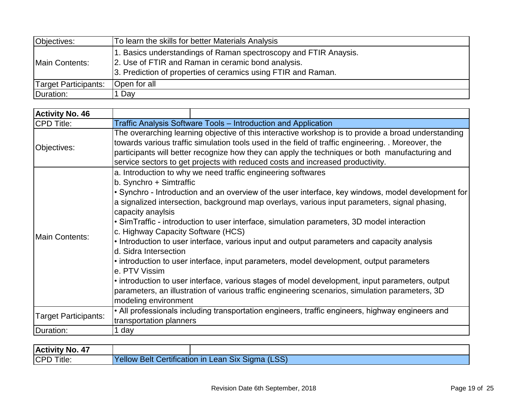| Objectives:                 | To learn the skills for better Materials Analysis                                                                                                                                       |
|-----------------------------|-----------------------------------------------------------------------------------------------------------------------------------------------------------------------------------------|
| Main Contents:              | 1. Basics understandings of Raman spectroscopy and FTIR Anaysis.<br>2. Use of FTIR and Raman in ceramic bond analysis.<br>3. Prediction of properties of ceramics using FTIR and Raman. |
| <b>Target Participants:</b> | <b>Open for all</b>                                                                                                                                                                     |
| Duration:                   | Day                                                                                                                                                                                     |

| <b>Activity No. 46</b>      |                                                                                                                                                                                                                                                                                                                                                                                                                                                                                                                                                                                                                                                                                                                                                                                                                                                                                                                            |
|-----------------------------|----------------------------------------------------------------------------------------------------------------------------------------------------------------------------------------------------------------------------------------------------------------------------------------------------------------------------------------------------------------------------------------------------------------------------------------------------------------------------------------------------------------------------------------------------------------------------------------------------------------------------------------------------------------------------------------------------------------------------------------------------------------------------------------------------------------------------------------------------------------------------------------------------------------------------|
| <b>CPD Title:</b>           | Traffic Analysis Software Tools – Introduction and Application                                                                                                                                                                                                                                                                                                                                                                                                                                                                                                                                                                                                                                                                                                                                                                                                                                                             |
| Objectives:                 | The overarching learning objective of this interactive workshop is to provide a broad understanding<br>towards various traffic simulation tools used in the field of traffic engineering. . Moreover, the<br>participants will better recognize how they can apply the techniques or both manufacturing and<br>service sectors to get projects with reduced costs and increased productivity.                                                                                                                                                                                                                                                                                                                                                                                                                                                                                                                              |
| Main Contents:              | a. Introduction to why we need traffic engineering softwares<br>b. Synchro + Simtraffic<br>• Synchro - Introduction and an overview of the user interface, key windows, model development for<br>a signalized intersection, background map overlays, various input parameters, signal phasing,<br>capacity anaylsis<br>• SimTraffic - introduction to user interface, simulation parameters, 3D model interaction<br>c. Highway Capacity Software (HCS)<br>• Introduction to user interface, various input and output parameters and capacity analysis<br>d. Sidra Intersection<br>• introduction to user interface, input parameters, model development, output parameters<br>e. PTV Vissim<br>• introduction to user interface, various stages of model development, input parameters, output<br>parameters, an illustration of various traffic engineering scenarios, simulation parameters, 3D<br>modeling environment |
| <b>Target Participants:</b> | • All professionals including transportation engineers, traffic engineers, highway engineers and<br>transportation planners                                                                                                                                                                                                                                                                                                                                                                                                                                                                                                                                                                                                                                                                                                                                                                                                |
| Duration:                   | 1 day                                                                                                                                                                                                                                                                                                                                                                                                                                                                                                                                                                                                                                                                                                                                                                                                                                                                                                                      |

| <b>Activity No. 47</b> |                       |                                         |
|------------------------|-----------------------|-----------------------------------------|
| <b>CPD Title:</b>      | Yellow<br><b>Belt</b> | t Certification in Lean Six Sigma (LSS) |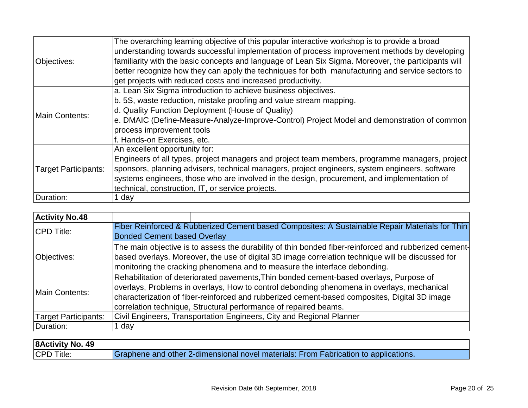| <b>Objectives:</b>          | The overarching learning objective of this popular interactive workshop is to provide a broad<br>understanding towards successful implementation of process improvement methods by developing<br>familiarity with the basic concepts and language of Lean Six Sigma. Moreover, the participants will<br>better recognize how they can apply the techniques for both manufacturing and service sectors to<br>get projects with reduced costs and increased productivity. |
|-----------------------------|-------------------------------------------------------------------------------------------------------------------------------------------------------------------------------------------------------------------------------------------------------------------------------------------------------------------------------------------------------------------------------------------------------------------------------------------------------------------------|
| <b>Main Contents:</b>       | a. Lean Six Sigma introduction to achieve business objectives.<br>b. 5S, waste reduction, mistake proofing and value stream mapping.<br>d. Quality Function Deployment (House of Quality)<br>e. DMAIC (Define-Measure-Analyze-Improve-Control) Project Model and demonstration of common<br>process improvement tools<br>f. Hands-on Exercises, etc.                                                                                                                    |
| <b>Target Participants:</b> | An excellent opportunity for:<br>Engineers of all types, project managers and project team members, programme managers, project<br>sponsors, planning advisers, technical managers, project engineers, system engineers, software<br>systems engineers, those who are involved in the design, procurement, and implementation of<br>technical, construction, IT, or service projects.                                                                                   |
| Duration:                   | 1 day                                                                                                                                                                                                                                                                                                                                                                                                                                                                   |

| <b>Activity No.48</b>       |                                                                                                       |
|-----------------------------|-------------------------------------------------------------------------------------------------------|
|                             | Fiber Reinforced & Rubberized Cement based Composites: A Sustainable Repair Materials for Thin        |
| <b>ICPD Title:</b>          | <b>Bonded Cement based Overlay</b>                                                                    |
|                             | The main objective is to assess the durability of thin bonded fiber-reinforced and rubberized cement- |
| <b>Objectives:</b>          | based overlays. Moreover, the use of digital 3D image correlation technique will be discussed for     |
|                             | monitoring the cracking phenomena and to measure the interface debonding.                             |
|                             | Rehabilitation of deteriorated pavements, Thin bonded cement-based overlays, Purpose of               |
| <b>IMain Contents:</b>      | overlays, Problems in overlays, How to control debonding phenomena in overlays, mechanical            |
|                             | characterization of fiber-reinforced and rubberized cement-based composites, Digital 3D image         |
|                             | correlation technique, Structural performance of repaired beams.                                      |
| <b>Target Participants:</b> | Civil Engineers, Transportation Engineers, City and Regional Planner                                  |
| Duration:                   | 1 day                                                                                                 |

## **8Activity No. 49**

| <b>CPD Title:</b> | Graphene and other 2-dimensional novel materials: From Fabrication to applications. |
|-------------------|-------------------------------------------------------------------------------------|
|-------------------|-------------------------------------------------------------------------------------|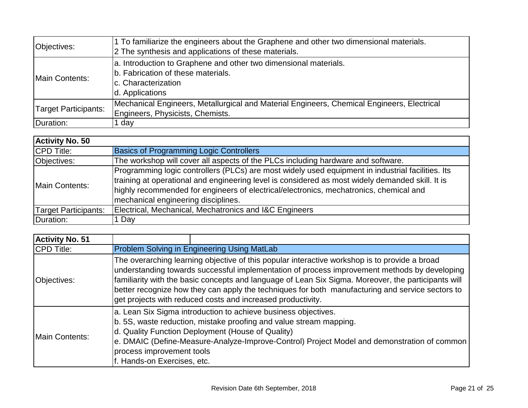| Objectives:                 | 1 To familiarize the engineers about the Graphene and other two dimensional materials.<br>2 The synthesis and applications of these materials.   |
|-----------------------------|--------------------------------------------------------------------------------------------------------------------------------------------------|
| Main Contents:              | a. Introduction to Graphene and other two dimensional materials.<br>b. Fabrication of these materials.<br>c. Characterization<br>d. Applications |
| <b>Target Participants:</b> | Mechanical Engineers, Metallurgical and Material Engineers, Chemical Engineers, Electrical<br>Engineers, Physicists, Chemists.                   |
| Duration:                   | day                                                                                                                                              |

| <b>Activity No. 50</b>      |                                                                                                                                                                                                                                                                                                                                        |
|-----------------------------|----------------------------------------------------------------------------------------------------------------------------------------------------------------------------------------------------------------------------------------------------------------------------------------------------------------------------------------|
| <b>CPD Title:</b>           | <b>Basics of Programming Logic Controllers</b>                                                                                                                                                                                                                                                                                         |
| Objectives:                 | The workshop will cover all aspects of the PLCs including hardware and software.                                                                                                                                                                                                                                                       |
| <b>IMain Contents:</b>      | Programming logic controllers (PLCs) are most widely used equipment in industrial facilities. Its<br>training at operational and engineering level is considered as most widely demanded skill. It is<br>highly recommended for engineers of electrical/electronics, mechatronics, chemical and<br>mechanical engineering disciplines. |
| <b>Target Participants:</b> | Electrical, Mechanical, Mechatronics and I&C Engineers                                                                                                                                                                                                                                                                                 |
| Duration:                   | Day                                                                                                                                                                                                                                                                                                                                    |

| <b>Activity No. 51</b> |                                                                                                                                                                                                                                                                                                                                                                                                                                                                         |
|------------------------|-------------------------------------------------------------------------------------------------------------------------------------------------------------------------------------------------------------------------------------------------------------------------------------------------------------------------------------------------------------------------------------------------------------------------------------------------------------------------|
| <b>CPD Title:</b>      | Problem Solving in Engineering Using MatLab                                                                                                                                                                                                                                                                                                                                                                                                                             |
| Objectives:            | The overarching learning objective of this popular interactive workshop is to provide a broad<br>understanding towards successful implementation of process improvement methods by developing<br>familiarity with the basic concepts and language of Lean Six Sigma. Moreover, the participants will<br>better recognize how they can apply the techniques for both manufacturing and service sectors to<br>get projects with reduced costs and increased productivity. |
| Main Contents:         | a. Lean Six Sigma introduction to achieve business objectives.<br>b. 5S, waste reduction, mistake proofing and value stream mapping.<br>d. Quality Function Deployment (House of Quality)<br>e. DMAIC (Define-Measure-Analyze-Improve-Control) Project Model and demonstration of common<br>process improvement tools<br>f. Hands-on Exercises, etc.                                                                                                                    |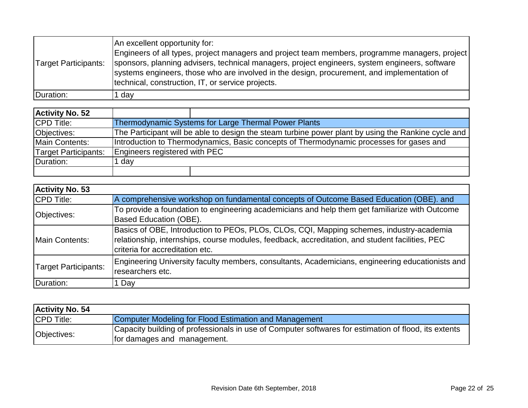| Target Participants: | An excellent opportunity for:<br>Engineers of all types, project managers and project team members, programme managers, project<br>sponsors, planning advisers, technical managers, project engineers, system engineers, software<br>systems engineers, those who are involved in the design, procurement, and implementation of<br>technical, construction, IT, or service projects. |
|----------------------|---------------------------------------------------------------------------------------------------------------------------------------------------------------------------------------------------------------------------------------------------------------------------------------------------------------------------------------------------------------------------------------|
| Duration:            | 1 day                                                                                                                                                                                                                                                                                                                                                                                 |

| <b>Activity No. 52</b> |                                                                                                     |
|------------------------|-----------------------------------------------------------------------------------------------------|
| <b>CPD Title:</b>      | Thermodynamic Systems for Large Thermal Power Plants                                                |
| Objectives:            | The Participant will be able to design the steam turbine power plant by using the Rankine cycle and |
| Main Contents:         | Introduction to Thermodynamics, Basic concepts of Thermodynamic processes for gases and             |
| Target Participants:   | Engineers registered with PEC                                                                       |
| Duration:              | day                                                                                                 |
|                        |                                                                                                     |

| <b>Activity No. 53</b>      |                                                                                                                                                                                                                                |
|-----------------------------|--------------------------------------------------------------------------------------------------------------------------------------------------------------------------------------------------------------------------------|
| <b>CPD Title:</b>           | A comprehensive workshop on fundamental concepts of Outcome Based Education (OBE). and                                                                                                                                         |
| Objectives:                 | To provide a foundation to engineering academicians and help them get familiarize with Outcome<br><b>Based Education (OBE).</b>                                                                                                |
| <b>IMain Contents:</b>      | Basics of OBE, Introduction to PEOs, PLOs, CLOs, CQI, Mapping schemes, industry-academia<br>relationship, internships, course modules, feedback, accreditation, and student facilities, PEC<br>criteria for accreditation etc. |
| <b>Target Participants:</b> | Engineering University faculty members, consultants, Academicians, engineering educationists and<br>researchers etc.                                                                                                           |
| Duration:                   | Day                                                                                                                                                                                                                            |

| <b>Activity No. 54</b> |                                                                                                                                       |
|------------------------|---------------------------------------------------------------------------------------------------------------------------------------|
| <b>CPD Title:</b>      | Computer Modeling for Flood Estimation and Management                                                                                 |
| Objectives:            | Capacity building of professionals in use of Computer softwares for estimation of flood, its extents<br>If or damages and management. |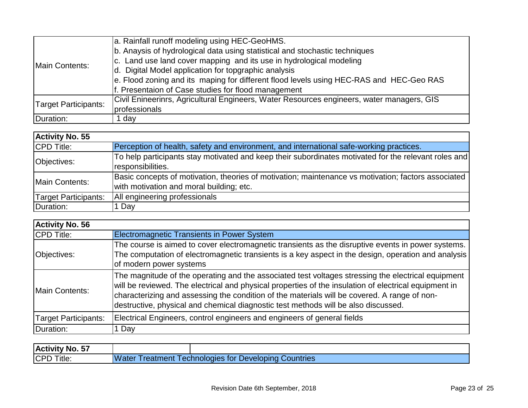| <b>IMain Contents:</b>      | a. Rainfall runoff modeling using HEC-GeoHMS.                                             |
|-----------------------------|-------------------------------------------------------------------------------------------|
|                             | b. Anaysis of hydrological data using statistical and stochastic techniques               |
|                             | c. Land use land cover mapping and its use in hydrological modeling                       |
|                             | d. Digital Model application for topgraphic analysis                                      |
|                             | e. Flood zoning and its maping for different flood levels using HEC-RAS and HEC-Geo RAS   |
|                             | f. Presentaion of Case studies for flood management                                       |
| <b>Target Participants:</b> | Civil Enineerinrs, Agricultural Engineers, Water Resources engineers, water managers, GIS |
|                             | professionals                                                                             |
| Duration:                   | 1 day                                                                                     |

| <b>Activity No. 55</b> |                                                                                                                                                 |
|------------------------|-------------------------------------------------------------------------------------------------------------------------------------------------|
| CPD Title:             | Perception of health, safety and environment, and international safe-working practices.                                                         |
| Objectives:            | To help participants stay motivated and keep their subordinates motivated for the relevant roles and<br>responsibilities.                       |
| Main Contents:         | Basic concepts of motivation, theories of motivation; maintenance vs motivation; factors associated<br>with motivation and moral building; etc. |
| Target Participants:   | All engineering professionals                                                                                                                   |
| Duration:              | 1 Day                                                                                                                                           |

| <b>Activity No. 56</b> |                                                                                                                                                                                                                                                                                                                                                                                                   |
|------------------------|---------------------------------------------------------------------------------------------------------------------------------------------------------------------------------------------------------------------------------------------------------------------------------------------------------------------------------------------------------------------------------------------------|
| <b>CPD Title:</b>      | <b>Electromagnetic Transients in Power System</b>                                                                                                                                                                                                                                                                                                                                                 |
| Objectives:            | The course is aimed to cover electromagnetic transients as the disruptive events in power systems.<br>The computation of electromagnetic transients is a key aspect in the design, operation and analysis<br>of modern power systems                                                                                                                                                              |
| <b>IMain Contents:</b> | The magnitude of the operating and the associated test voltages stressing the electrical equipment<br>will be reviewed. The electrical and physical properties of the insulation of electrical equipment in<br>characterizing and assessing the condition of the materials will be covered. A range of non-<br>destructive, physical and chemical diagnostic test methods will be also discussed. |
| Target Participants:   | Electrical Engineers, control engineers and engineers of general fields                                                                                                                                                                                                                                                                                                                           |
| Duration:              | 1 Day                                                                                                                                                                                                                                                                                                                                                                                             |

| <b>Activity No. 57</b> |                                                                   |
|------------------------|-------------------------------------------------------------------|
| <b>CPD</b><br>Title:   | Water<br>Technologies for Developing (<br>Countries<br>reatment T |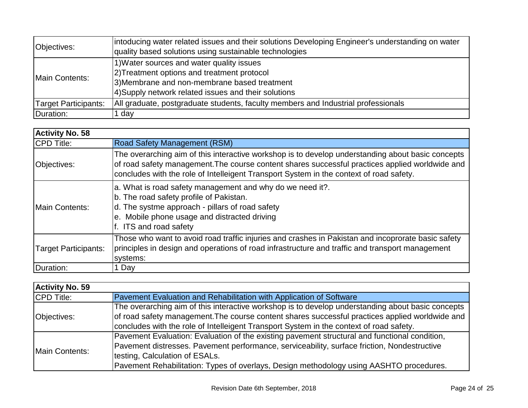| Objectives:                 | Intoducing water related issues and their solutions Developing Engineer's understanding on water<br>quality based solutions using sustainable technologies                                       |
|-----------------------------|--------------------------------------------------------------------------------------------------------------------------------------------------------------------------------------------------|
| <b>Main Contents:</b>       | 1) Water sources and water quality issues<br>2) Treatment options and treatment protocol<br>3) Membrane and non-membrane based treatment<br>4) Supply network related issues and their solutions |
| <b>Target Participants:</b> | All graduate, postgraduate students, faculty members and Industrial professionals                                                                                                                |
| Duration:                   | 1 day                                                                                                                                                                                            |

| <b>Activity No. 58</b> |                                                                                                                                                                                                                                                                                                 |
|------------------------|-------------------------------------------------------------------------------------------------------------------------------------------------------------------------------------------------------------------------------------------------------------------------------------------------|
| <b>CPD Title:</b>      | <b>Road Safety Management (RSM)</b>                                                                                                                                                                                                                                                             |
| Objectives:            | The overarching aim of this interactive workshop is to develop understanding about basic concepts<br>of road safety management. The course content shares successful practices applied worldwide and<br>concludes with the role of Intelleigent Transport System in the context of road safety. |
| Main Contents:         | a. What is road safety management and why do we need it?.<br>b. The road safety profile of Pakistan.<br>d. The systme approach - pillars of road safety<br>Mobile phone usage and distracted driving<br>e.<br>f. ITS and road safety                                                            |
| Target Participants:   | Those who want to avoid road traffic injuries and crashes in Pakistan and incoprorate basic safety<br>principles in design and operations of road infrastructure and traffic and transport management<br>systems:                                                                               |
| Duration:              | Day                                                                                                                                                                                                                                                                                             |

| <b>Activity No. 59</b> |                                                                                                   |
|------------------------|---------------------------------------------------------------------------------------------------|
| <b>CPD Title:</b>      | Pavement Evaluation and Rehabilitation with Application of Software                               |
| Objectives:            | The overarching aim of this interactive workshop is to develop understanding about basic concepts |
|                        | of road safety management. The course content shares successful practices applied worldwide and   |
|                        | concludes with the role of Intelleigent Transport System in the context of road safety.           |
| <b>Main Contents:</b>  | Pavement Evaluation: Evaluation of the existing pavement structural and functional condition,     |
|                        | Pavement distresses. Pavement performance, serviceability, surface friction, Nondestructive       |
|                        | testing, Calculation of ESALs.                                                                    |
|                        | Pavement Rehabilitation: Types of overlays, Design methodology using AASHTO procedures.           |